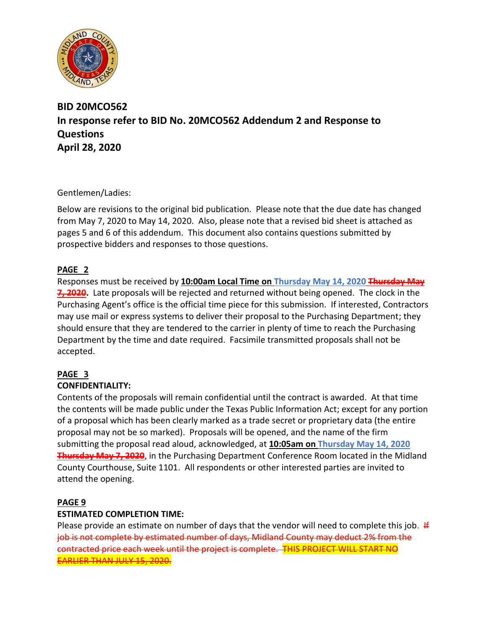

# **BID 20MCO562 In response refer to BID No. 20MCO562 Addendum 2 and Response to Questions April 28, 2020**

Gentlemen/Ladies:

Below are revisions to the original bid publication. Please note that the due date has changed from May 7, 2020 to May 14, 2020. Also, please note that a revised bid sheet is attached as pages 5 and 6 of this addendum. This document also contains questions submitted by prospective bidders and responses to those questions.

### **PAGE 2**

Responses must be received by **10:00am Local Time on Thursday May 14, 2020 Thursday May 7, 2020.** Late proposals will be rejected and returned without being opened. The clock in the Purchasing Agent's office is the official time piece for this submission. If interested, Contractors may use mail or express systems to deliver their proposal to the Purchasing Department; they should ensure that they are tendered to the carrier in plenty of time to reach the Purchasing Department by the time and date required. Facsimile transmitted proposals shall not be accepted.

# **PAGE 3**

### **CONFIDENTIALITY:**

Contents of the proposals will remain confidential until the contract is awarded. At that time the contents will be made public under the Texas Public Information Act; except for any portion of a proposal which has been clearly marked as a trade secret or proprietary data (the entire proposal may not be so marked). Proposals will be opened, and the name of the firm submitting the proposal read aloud, acknowledged, at **10:05am on Thursday May 14, 2020 Thursday May 7, 2020**, in the Purchasing Department Conference Room located in the Midland County Courthouse, Suite 1101. All respondents or other interested parties are invited to attend the opening.

### **PAGE 9**

### **ESTIMATED COMPLETION TIME:**

Please provide an estimate on number of days that the vendor will need to complete this job.  $#$ job is not complete by estimated number of days, Midland County may deduct 2% from the contracted price each week until the project is complete. THIS PROJECT WILL START NO EARLIER THAN JULY 15, 2020.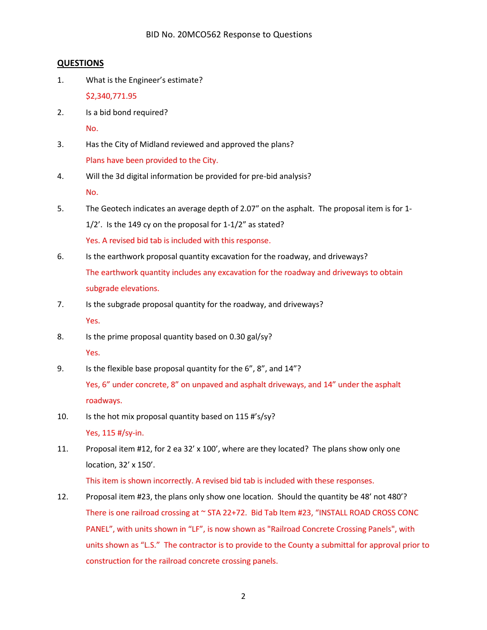#### **QUESTIONS**

1. What is the Engineer's estimate?

\$2,340,771.95

2. Is a bid bond required?

No.

- 3. Has the City of Midland reviewed and approved the plans? Plans have been provided to the City.
- 4. Will the 3d digital information be provided for pre-bid analysis? No.
- 5. The Geotech indicates an average depth of 2.07" on the asphalt. The proposal item is for 1- 1/2'. Is the 149 cy on the proposal for 1-1/2" as stated? Yes. A revised bid tab is included with this response.
- 6. Is the earthwork proposal quantity excavation for the roadway, and driveways? The earthwork quantity includes any excavation for the roadway and driveways to obtain subgrade elevations.
- 7. Is the subgrade proposal quantity for the roadway, and driveways? Yes.
- 8. Is the prime proposal quantity based on 0.30 gal/sy? Yes.
- 9. Is the flexible base proposal quantity for the 6", 8", and 14"? Yes, 6" under concrete, 8" on unpaved and asphalt driveways, and 14" under the asphalt roadways.
- 10. Is the hot mix proposal quantity based on 115 #'s/sy? Yes, 115 #/sy-in.
- 11. Proposal item #12, for 2 ea 32' x 100', where are they located? The plans show only one location, 32' x 150'.

This item is shown incorrectly. A revised bid tab is included with these responses.

12. Proposal item #23, the plans only show one location. Should the quantity be 48' not 480'? There is one railroad crossing at ~ STA 22+72. Bid Tab Item #23, "INSTALL ROAD CROSS CONC PANEL", with units shown in "LF", is now shown as "Railroad Concrete Crossing Panels", with units shown as "L.S." The contractor is to provide to the County a submittal for approval prior to construction for the railroad concrete crossing panels.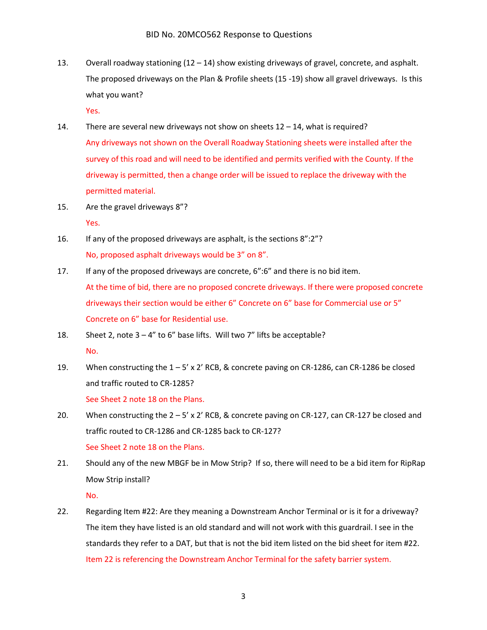13. Overall roadway stationing  $(12 - 14)$  show existing driveways of gravel, concrete, and asphalt. The proposed driveways on the Plan & Profile sheets (15 -19) show all gravel driveways. Is this what you want?

Yes.

- 14. There are several new driveways not show on sheets 12 14, what is required? Any driveways not shown on the Overall Roadway Stationing sheets were installed after the survey of this road and will need to be identified and permits verified with the County. If the driveway is permitted, then a change order will be issued to replace the driveway with the permitted material.
- 15. Are the gravel driveways 8"? Yes.
- 16. If any of the proposed driveways are asphalt, is the sections 8":2"? No, proposed asphalt driveways would be 3" on 8".
- 17. If any of the proposed driveways are concrete, 6":6" and there is no bid item. At the time of bid, there are no proposed concrete driveways. If there were proposed concrete driveways their section would be either 6" Concrete on 6" base for Commercial use or 5" Concrete on 6" base for Residential use.
- 18. Sheet 2, note  $3 4$ " to 6" base lifts. Will two 7" lifts be acceptable? No.
- 19. When constructing the 1 5' x 2' RCB, & concrete paving on CR-1286, can CR-1286 be closed and traffic routed to CR-1285? See Sheet 2 note 18 on the Plans.
- 20. When constructing the  $2 5'$  x 2' RCB, & concrete paving on CR-127, can CR-127 be closed and traffic routed to CR-1286 and CR-1285 back to CR-127? See Sheet 2 note 18 on the Plans.
- 21. Should any of the new MBGF be in Mow Strip? If so, there will need to be a bid item for RipRap Mow Strip install?

No.

22. Regarding Item #22: Are they meaning a Downstream Anchor Terminal or is it for a driveway? The item they have listed is an old standard and will not work with this guardrail. I see in the standards they refer to a DAT, but that is not the bid item listed on the bid sheet for item #22. Item 22 is referencing the Downstream Anchor Terminal for the safety barrier system.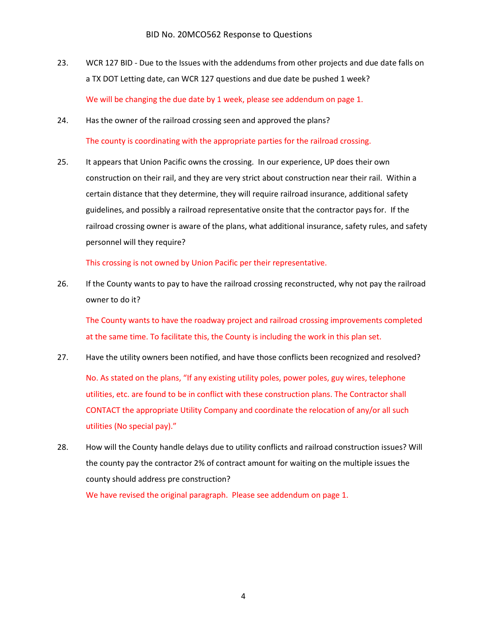- 23. WCR 127 BID Due to the Issues with the addendums from other projects and due date falls on a TX DOT Letting date, can WCR 127 questions and due date be pushed 1 week? We will be changing the due date by 1 week, please see addendum on page 1.
- 24. Has the owner of the railroad crossing seen and approved the plans? The county is coordinating with the appropriate parties for the railroad crossing.
- 25. It appears that Union Pacific owns the crossing. In our experience, UP does their own construction on their rail, and they are very strict about construction near their rail. Within a certain distance that they determine, they will require railroad insurance, additional safety guidelines, and possibly a railroad representative onsite that the contractor pays for. If the railroad crossing owner is aware of the plans, what additional insurance, safety rules, and safety personnel will they require?

This crossing is not owned by Union Pacific per their representative.

26. If the County wants to pay to have the railroad crossing reconstructed, why not pay the railroad owner to do it?

The County wants to have the roadway project and railroad crossing improvements completed at the same time. To facilitate this, the County is including the work in this plan set.

27. Have the utility owners been notified, and have those conflicts been recognized and resolved?

No. As stated on the plans, "If any existing utility poles, power poles, guy wires, telephone utilities, etc. are found to be in conflict with these construction plans. The Contractor shall CONTACT the appropriate Utility Company and coordinate the relocation of any/or all such utilities (No special pay)."

28. How will the County handle delays due to utility conflicts and railroad construction issues? Will the county pay the contractor 2% of contract amount for waiting on the multiple issues the county should address pre construction?

We have revised the original paragraph. Please see addendum on page 1.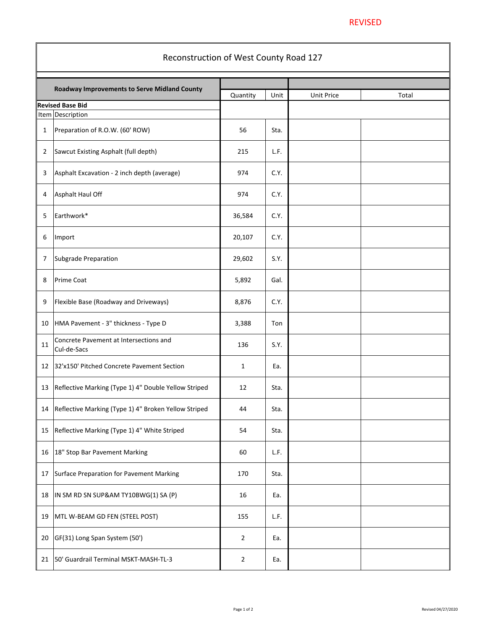#### REVISED

| Reconstruction of West County Road 127 |                                                       |                |      |                   |       |  |  |  |
|----------------------------------------|-------------------------------------------------------|----------------|------|-------------------|-------|--|--|--|
|                                        | Roadway Improvements to Serve Midland County          |                |      |                   |       |  |  |  |
|                                        | <b>Revised Base Bid</b>                               | Quantity       | Unit | <b>Unit Price</b> | Total |  |  |  |
|                                        | Item Description                                      |                |      |                   |       |  |  |  |
| 1                                      | Preparation of R.O.W. (60' ROW)                       | 56             | Sta. |                   |       |  |  |  |
| 2                                      | Sawcut Existing Asphalt (full depth)                  | 215            | L.F. |                   |       |  |  |  |
| 3                                      | Asphalt Excavation - 2 inch depth (average)           | 974            | C.Y. |                   |       |  |  |  |
| 4                                      | Asphalt Haul Off                                      | 974            | C.Y. |                   |       |  |  |  |
| 5                                      | Earthwork*                                            | 36,584         | C.Y. |                   |       |  |  |  |
| 6                                      | Import                                                | 20,107         | C.Y. |                   |       |  |  |  |
| 7                                      | Subgrade Preparation                                  | 29,602         | S.Y. |                   |       |  |  |  |
| 8                                      | Prime Coat                                            | 5,892          | Gal. |                   |       |  |  |  |
| 9                                      | Flexible Base (Roadway and Driveways)                 | 8,876          | C.Y. |                   |       |  |  |  |
| 10                                     | HMA Pavement - 3" thickness - Type D                  | 3,388          | Ton  |                   |       |  |  |  |
| 11                                     | Concrete Pavement at Intersections and<br>Cul-de-Sacs | 136            | S.Y. |                   |       |  |  |  |
| 12                                     | 32'x150' Pitched Concrete Pavement Section            | 1              | Ea.  |                   |       |  |  |  |
| 13                                     | Reflective Marking (Type 1) 4" Double Yellow Striped  | 12             | Sta. |                   |       |  |  |  |
| 14                                     | Reflective Marking (Type 1) 4" Broken Yellow Striped  | 44             | Sta. |                   |       |  |  |  |
| 15                                     | Reflective Marking (Type 1) 4" White Striped          | 54             | Sta. |                   |       |  |  |  |
| 16                                     | 18" Stop Bar Pavement Marking                         | 60             | L.F. |                   |       |  |  |  |
| 17                                     | Surface Preparation for Pavement Marking              | 170            | Sta. |                   |       |  |  |  |
| 18                                     | IN SM RD SN SUP&AM TY10BWG(1) SA (P)                  | 16             | Ea.  |                   |       |  |  |  |
| 19                                     | MTL W-BEAM GD FEN (STEEL POST)                        | 155            | L.F. |                   |       |  |  |  |
| 20                                     | GF(31) Long Span System (50')                         | $\overline{2}$ | Ea.  |                   |       |  |  |  |
| 21                                     | 50' Guardrail Terminal MSKT-MASH-TL-3                 | 2              | Ea.  |                   |       |  |  |  |